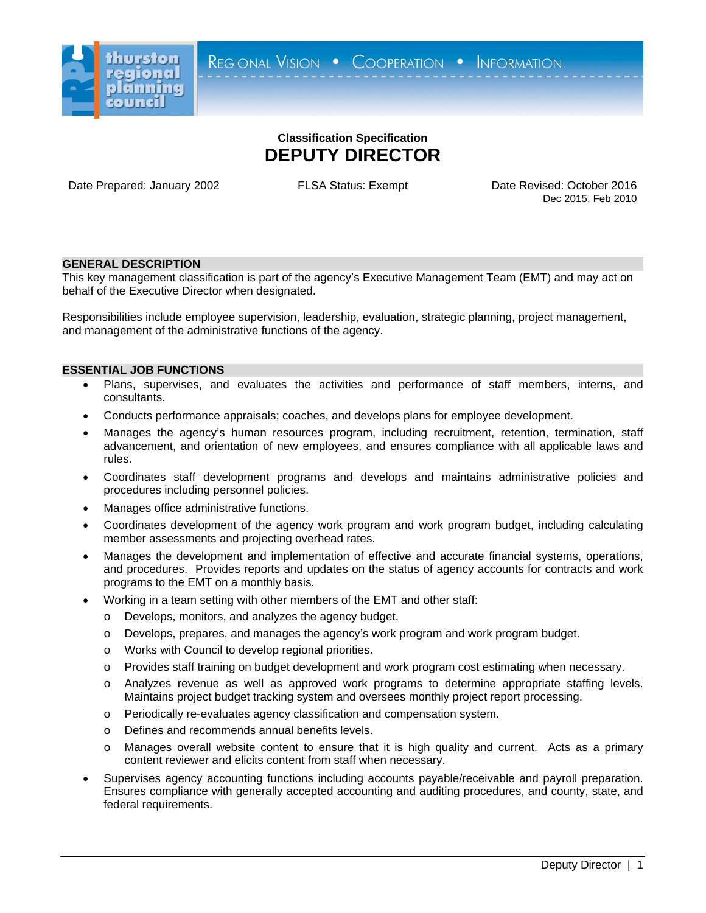

# **Classification Specification DEPUTY DIRECTOR**

Date Prepared: January 2002 **FLSA Status: Exempt** Date Revised: October 2016

Dec 2015, Feb 2010

## **GENERAL DESCRIPTION**

This key management classification is part of the agency's Executive Management Team (EMT) and may act on behalf of the Executive Director when designated.

Responsibilities include employee supervision, leadership, evaluation, strategic planning, project management, and management of the administrative functions of the agency.

## **ESSENTIAL JOB FUNCTIONS**

- Plans, supervises, and evaluates the activities and performance of staff members, interns, and consultants.
- Conducts performance appraisals; coaches, and develops plans for employee development.
- Manages the agency's human resources program, including recruitment, retention, termination, staff advancement, and orientation of new employees, and ensures compliance with all applicable laws and rules.
- Coordinates staff development programs and develops and maintains administrative policies and procedures including personnel policies.
- Manages office administrative functions.
- Coordinates development of the agency work program and work program budget, including calculating member assessments and projecting overhead rates.
- Manages the development and implementation of effective and accurate financial systems, operations, and procedures. Provides reports and updates on the status of agency accounts for contracts and work programs to the EMT on a monthly basis.
- Working in a team setting with other members of the EMT and other staff:
	- o Develops, monitors, and analyzes the agency budget.
	- o Develops, prepares, and manages the agency's work program and work program budget.
	- o Works with Council to develop regional priorities.
	- o Provides staff training on budget development and work program cost estimating when necessary.
	- o Analyzes revenue as well as approved work programs to determine appropriate staffing levels. Maintains project budget tracking system and oversees monthly project report processing.
	- o Periodically re-evaluates agency classification and compensation system.
	- o Defines and recommends annual benefits levels.
	- o Manages overall website content to ensure that it is high quality and current. Acts as a primary content reviewer and elicits content from staff when necessary.
- Supervises agency accounting functions including accounts payable/receivable and payroll preparation. Ensures compliance with generally accepted accounting and auditing procedures, and county, state, and federal requirements.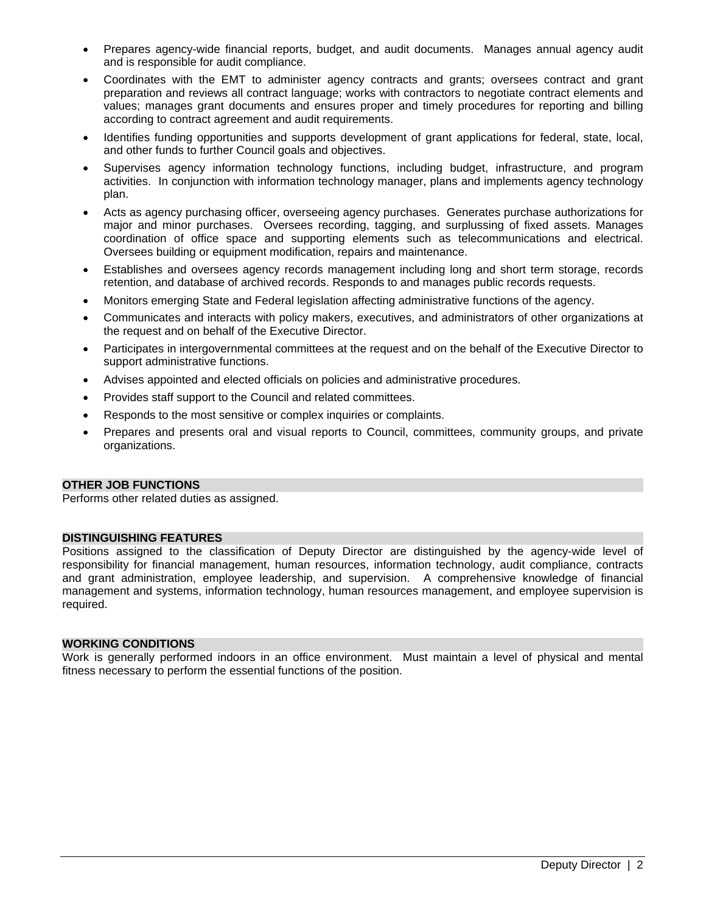- Prepares agency-wide financial reports, budget, and audit documents. Manages annual agency audit and is responsible for audit compliance.
- Coordinates with the EMT to administer agency contracts and grants; oversees contract and grant preparation and reviews all contract language; works with contractors to negotiate contract elements and values; manages grant documents and ensures proper and timely procedures for reporting and billing according to contract agreement and audit requirements.
- Identifies funding opportunities and supports development of grant applications for federal, state, local, and other funds to further Council goals and objectives.
- Supervises agency information technology functions, including budget, infrastructure, and program activities. In conjunction with information technology manager, plans and implements agency technology plan.
- Acts as agency purchasing officer, overseeing agency purchases. Generates purchase authorizations for major and minor purchases. Oversees recording, tagging, and surplussing of fixed assets. Manages coordination of office space and supporting elements such as telecommunications and electrical. Oversees building or equipment modification, repairs and maintenance.
- Establishes and oversees agency records management including long and short term storage, records retention, and database of archived records. Responds to and manages public records requests.
- Monitors emerging State and Federal legislation affecting administrative functions of the agency.
- Communicates and interacts with policy makers, executives, and administrators of other organizations at the request and on behalf of the Executive Director.
- Participates in intergovernmental committees at the request and on the behalf of the Executive Director to support administrative functions.
- Advises appointed and elected officials on policies and administrative procedures.
- Provides staff support to the Council and related committees.
- Responds to the most sensitive or complex inquiries or complaints.
- Prepares and presents oral and visual reports to Council, committees, community groups, and private organizations.

## **OTHER JOB FUNCTIONS**

Performs other related duties as assigned.

## **DISTINGUISHING FEATURES**

Positions assigned to the classification of Deputy Director are distinguished by the agency-wide level of responsibility for financial management, human resources, information technology, audit compliance, contracts and grant administration, employee leadership, and supervision. A comprehensive knowledge of financial management and systems, information technology, human resources management, and employee supervision is required.

## **WORKING CONDITIONS**

Work is generally performed indoors in an office environment. Must maintain a level of physical and mental fitness necessary to perform the essential functions of the position.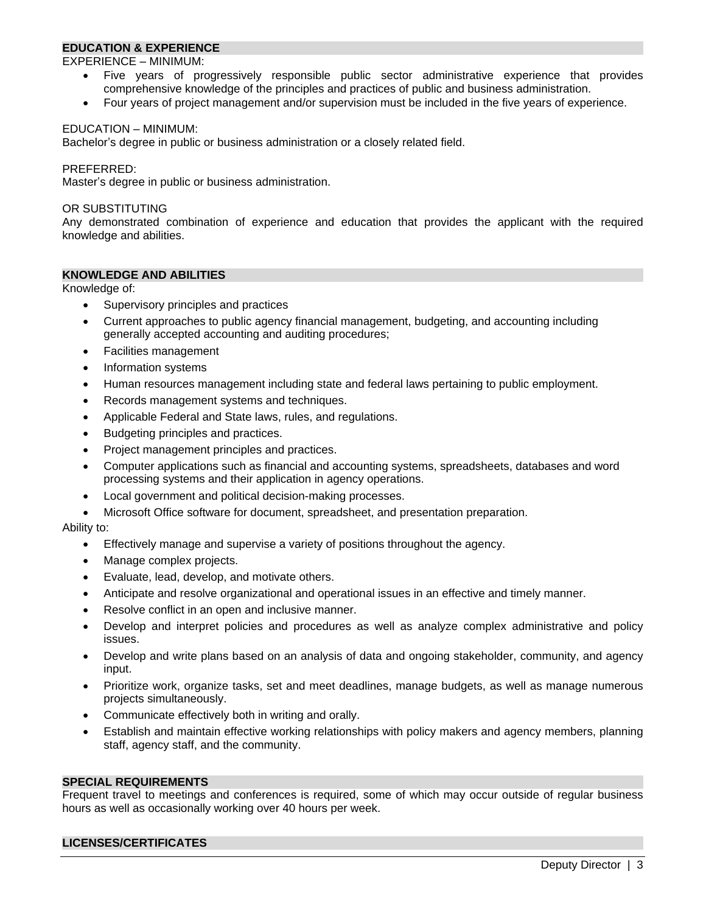# **EDUCATION & EXPERIENCE**

EXPERIENCE – MINIMUM:

- Five years of progressively responsible public sector administrative experience that provides comprehensive knowledge of the principles and practices of public and business administration.
- Four years of project management and/or supervision must be included in the five years of experience.

#### EDUCATION – MINIMUM:

Bachelor's degree in public or business administration or a closely related field.

#### PREFERRED:

Master's degree in public or business administration.

#### OR SUBSTITUTING

Any demonstrated combination of experience and education that provides the applicant with the required knowledge and abilities.

## **KNOWLEDGE AND ABILITIES**

Knowledge of:

- Supervisory principles and practices
- Current approaches to public agency financial management, budgeting, and accounting including generally accepted accounting and auditing procedures;
- Facilities management
- Information systems
- Human resources management including state and federal laws pertaining to public employment.
- Records management systems and techniques.
- Applicable Federal and State laws, rules, and regulations.
- Budgeting principles and practices.
- Project management principles and practices.
- Computer applications such as financial and accounting systems, spreadsheets, databases and word processing systems and their application in agency operations.
- Local government and political decision-making processes.
- Microsoft Office software for document, spreadsheet, and presentation preparation.

Ability to:

- Effectively manage and supervise a variety of positions throughout the agency.
- Manage complex projects.
- Evaluate, lead, develop, and motivate others.
- Anticipate and resolve organizational and operational issues in an effective and timely manner.
- Resolve conflict in an open and inclusive manner.
- Develop and interpret policies and procedures as well as analyze complex administrative and policy issues.
- Develop and write plans based on an analysis of data and ongoing stakeholder, community, and agency input.
- Prioritize work, organize tasks, set and meet deadlines, manage budgets, as well as manage numerous projects simultaneously.
- Communicate effectively both in writing and orally.
- Establish and maintain effective working relationships with policy makers and agency members, planning staff, agency staff, and the community.

#### **SPECIAL REQUIREMENTS**

Frequent travel to meetings and conferences is required, some of which may occur outside of regular business hours as well as occasionally working over 40 hours per week.

## **LICENSES/CERTIFICATES**